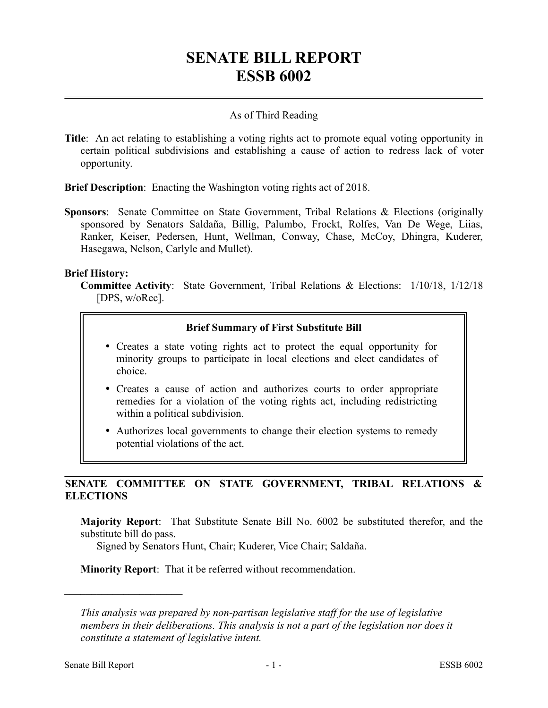# **SENATE BILL REPORT ESSB 6002**

### As of Third Reading

**Title**: An act relating to establishing a voting rights act to promote equal voting opportunity in certain political subdivisions and establishing a cause of action to redress lack of voter opportunity.

**Brief Description**: Enacting the Washington voting rights act of 2018.

**Sponsors**: Senate Committee on State Government, Tribal Relations & Elections (originally sponsored by Senators Saldaña, Billig, Palumbo, Frockt, Rolfes, Van De Wege, Liias, Ranker, Keiser, Pedersen, Hunt, Wellman, Conway, Chase, McCoy, Dhingra, Kuderer, Hasegawa, Nelson, Carlyle and Mullet).

### **Brief History:**

**Committee Activity**: State Government, Tribal Relations & Elections: 1/10/18, 1/12/18 [DPS, w/oRec].

### **Brief Summary of First Substitute Bill**

- Creates a state voting rights act to protect the equal opportunity for minority groups to participate in local elections and elect candidates of choice.
- Creates a cause of action and authorizes courts to order appropriate remedies for a violation of the voting rights act, including redistricting within a political subdivision.
- Authorizes local governments to change their election systems to remedy potential violations of the act.

## **SENATE COMMITTEE ON STATE GOVERNMENT, TRIBAL RELATIONS & ELECTIONS**

**Majority Report**: That Substitute Senate Bill No. 6002 be substituted therefor, and the substitute bill do pass.

Signed by Senators Hunt, Chair; Kuderer, Vice Chair; Saldaña.

**Minority Report**: That it be referred without recommendation.

––––––––––––––––––––––

*This analysis was prepared by non-partisan legislative staff for the use of legislative members in their deliberations. This analysis is not a part of the legislation nor does it constitute a statement of legislative intent.*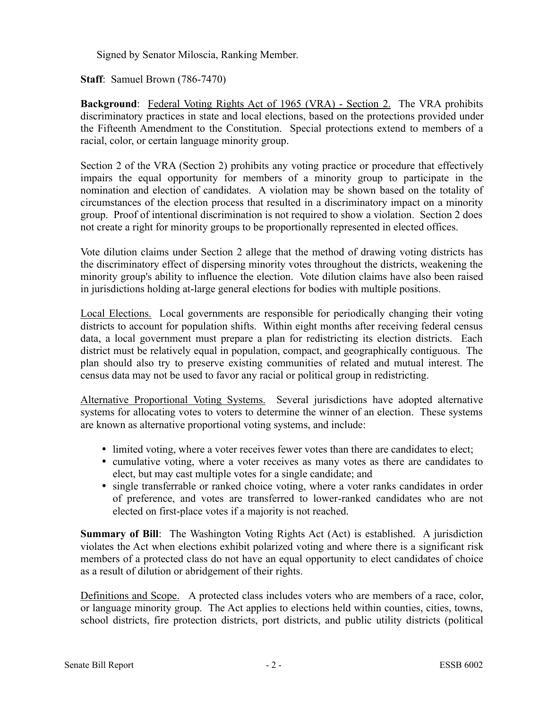Signed by Senator Miloscia, Ranking Member.

**Staff**: Samuel Brown (786-7470)

**Background**: Federal Voting Rights Act of 1965 (VRA) - Section 2. The VRA prohibits discriminatory practices in state and local elections, based on the protections provided under the Fifteenth Amendment to the Constitution. Special protections extend to members of a racial, color, or certain language minority group.

Section 2 of the VRA (Section 2) prohibits any voting practice or procedure that effectively impairs the equal opportunity for members of a minority group to participate in the nomination and election of candidates. A violation may be shown based on the totality of circumstances of the election process that resulted in a discriminatory impact on a minority group. Proof of intentional discrimination is not required to show a violation. Section 2 does not create a right for minority groups to be proportionally represented in elected offices.

Vote dilution claims under Section 2 allege that the method of drawing voting districts has the discriminatory effect of dispersing minority votes throughout the districts, weakening the minority group's ability to influence the election. Vote dilution claims have also been raised in jurisdictions holding at-large general elections for bodies with multiple positions.

Local Elections. Local governments are responsible for periodically changing their voting districts to account for population shifts. Within eight months after receiving federal census data, a local government must prepare a plan for redistricting its election districts. Each district must be relatively equal in population, compact, and geographically contiguous. The plan should also try to preserve existing communities of related and mutual interest. The census data may not be used to favor any racial or political group in redistricting.

Alternative Proportional Voting Systems. Several jurisdictions have adopted alternative systems for allocating votes to voters to determine the winner of an election. These systems are known as alternative proportional voting systems, and include:

- limited voting, where a voter receives fewer votes than there are candidates to elect;
- cumulative voting, where a voter receives as many votes as there are candidates to elect, but may cast multiple votes for a single candidate; and
- single transferrable or ranked choice voting, where a voter ranks candidates in order of preference, and votes are transferred to lower-ranked candidates who are not elected on first-place votes if a majority is not reached.

**Summary of Bill**: The Washington Voting Rights Act (Act) is established. A jurisdiction violates the Act when elections exhibit polarized voting and where there is a significant risk members of a protected class do not have an equal opportunity to elect candidates of choice as a result of dilution or abridgement of their rights.

Definitions and Scope. A protected class includes voters who are members of a race, color, or language minority group. The Act applies to elections held within counties, cities, towns, school districts, fire protection districts, port districts, and public utility districts (political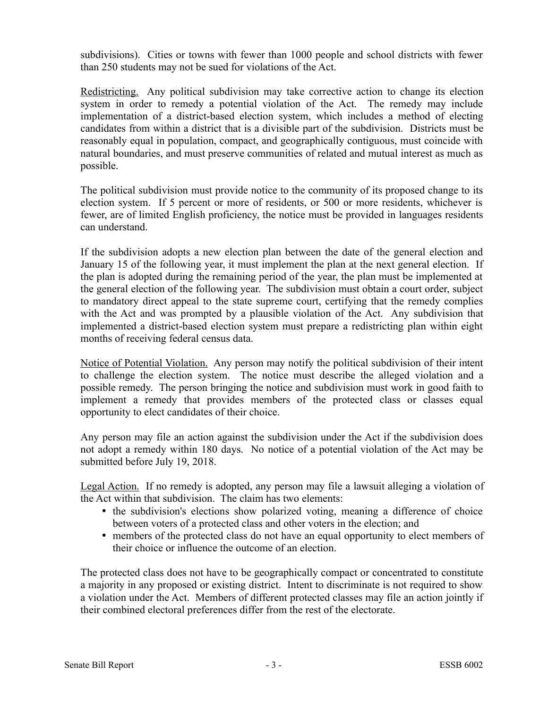subdivisions). Cities or towns with fewer than 1000 people and school districts with fewer than 250 students may not be sued for violations of the Act.

Redistricting. Any political subdivision may take corrective action to change its election system in order to remedy a potential violation of the Act. The remedy may include implementation of a district-based election system, which includes a method of electing candidates from within a district that is a divisible part of the subdivision. Districts must be reasonably equal in population, compact, and geographically contiguous, must coincide with natural boundaries, and must preserve communities of related and mutual interest as much as possible.

The political subdivision must provide notice to the community of its proposed change to its election system. If 5 percent or more of residents, or 500 or more residents, whichever is fewer, are of limited English proficiency, the notice must be provided in languages residents can understand.

If the subdivision adopts a new election plan between the date of the general election and January 15 of the following year, it must implement the plan at the next general election. If the plan is adopted during the remaining period of the year, the plan must be implemented at the general election of the following year. The subdivision must obtain a court order, subject to mandatory direct appeal to the state supreme court, certifying that the remedy complies with the Act and was prompted by a plausible violation of the Act. Any subdivision that implemented a district-based election system must prepare a redistricting plan within eight months of receiving federal census data.

Notice of Potential Violation. Any person may notify the political subdivision of their intent to challenge the election system. The notice must describe the alleged violation and a possible remedy. The person bringing the notice and subdivision must work in good faith to implement a remedy that provides members of the protected class or classes equal opportunity to elect candidates of their choice.

Any person may file an action against the subdivision under the Act if the subdivision does not adopt a remedy within 180 days. No notice of a potential violation of the Act may be submitted before July 19, 2018.

Legal Action. If no remedy is adopted, any person may file a lawsuit alleging a violation of the Act within that subdivision. The claim has two elements:

- the subdivision's elections show polarized voting, meaning a difference of choice between voters of a protected class and other voters in the election; and
- members of the protected class do not have an equal opportunity to elect members of their choice or influence the outcome of an election.

The protected class does not have to be geographically compact or concentrated to constitute a majority in any proposed or existing district. Intent to discriminate is not required to show a violation under the Act. Members of different protected classes may file an action jointly if their combined electoral preferences differ from the rest of the electorate.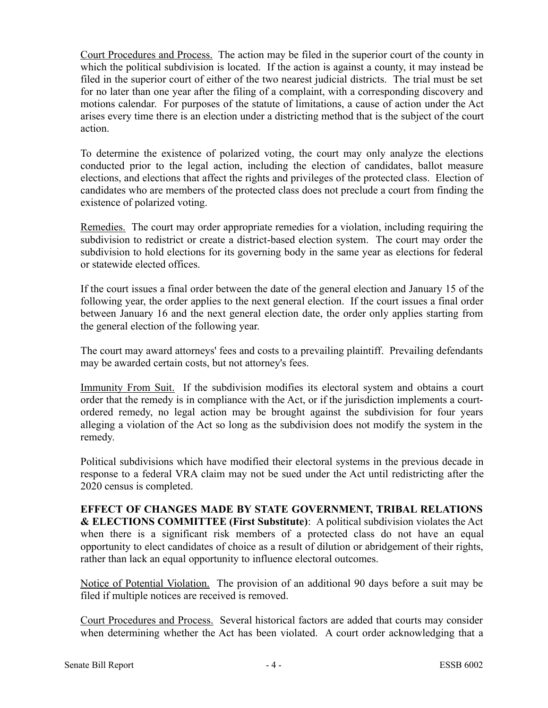Court Procedures and Process. The action may be filed in the superior court of the county in which the political subdivision is located. If the action is against a county, it may instead be filed in the superior court of either of the two nearest judicial districts. The trial must be set for no later than one year after the filing of a complaint, with a corresponding discovery and motions calendar. For purposes of the statute of limitations, a cause of action under the Act arises every time there is an election under a districting method that is the subject of the court action.

To determine the existence of polarized voting, the court may only analyze the elections conducted prior to the legal action, including the election of candidates, ballot measure elections, and elections that affect the rights and privileges of the protected class. Election of candidates who are members of the protected class does not preclude a court from finding the existence of polarized voting.

Remedies. The court may order appropriate remedies for a violation, including requiring the subdivision to redistrict or create a district-based election system. The court may order the subdivision to hold elections for its governing body in the same year as elections for federal or statewide elected offices.

If the court issues a final order between the date of the general election and January 15 of the following year, the order applies to the next general election. If the court issues a final order between January 16 and the next general election date, the order only applies starting from the general election of the following year.

The court may award attorneys' fees and costs to a prevailing plaintiff. Prevailing defendants may be awarded certain costs, but not attorney's fees.

Immunity From Suit. If the subdivision modifies its electoral system and obtains a court order that the remedy is in compliance with the Act, or if the jurisdiction implements a courtordered remedy, no legal action may be brought against the subdivision for four years alleging a violation of the Act so long as the subdivision does not modify the system in the remedy.

Political subdivisions which have modified their electoral systems in the previous decade in response to a federal VRA claim may not be sued under the Act until redistricting after the 2020 census is completed.

**EFFECT OF CHANGES MADE BY STATE GOVERNMENT, TRIBAL RELATIONS & ELECTIONS COMMITTEE (First Substitute)**: A political subdivision violates the Act when there is a significant risk members of a protected class do not have an equal opportunity to elect candidates of choice as a result of dilution or abridgement of their rights, rather than lack an equal opportunity to influence electoral outcomes.

Notice of Potential Violation. The provision of an additional 90 days before a suit may be filed if multiple notices are received is removed.

Court Procedures and Process. Several historical factors are added that courts may consider when determining whether the Act has been violated. A court order acknowledging that a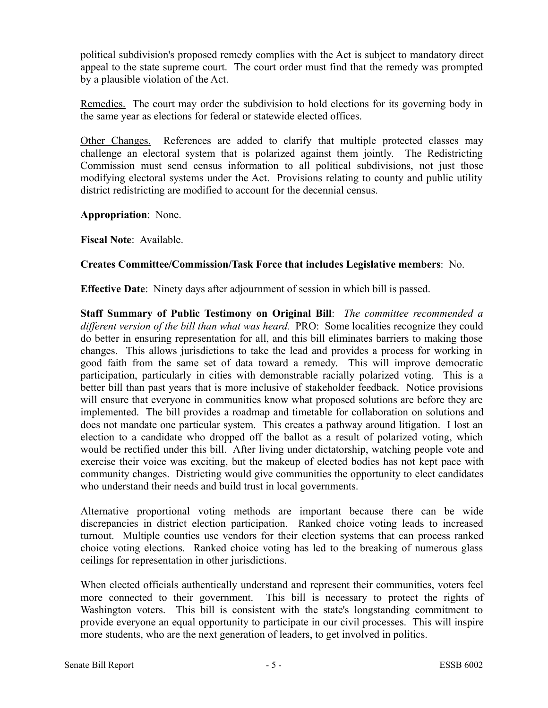political subdivision's proposed remedy complies with the Act is subject to mandatory direct appeal to the state supreme court. The court order must find that the remedy was prompted by a plausible violation of the Act.

Remedies. The court may order the subdivision to hold elections for its governing body in the same year as elections for federal or statewide elected offices.

Other Changes. References are added to clarify that multiple protected classes may challenge an electoral system that is polarized against them jointly. The Redistricting Commission must send census information to all political subdivisions, not just those modifying electoral systems under the Act. Provisions relating to county and public utility district redistricting are modified to account for the decennial census.

**Appropriation**: None.

**Fiscal Note**: Available.

### **Creates Committee/Commission/Task Force that includes Legislative members**: No.

**Effective Date**: Ninety days after adjournment of session in which bill is passed.

**Staff Summary of Public Testimony on Original Bill**: *The committee recommended a different version of the bill than what was heard.* PRO: Some localities recognize they could do better in ensuring representation for all, and this bill eliminates barriers to making those changes. This allows jurisdictions to take the lead and provides a process for working in good faith from the same set of data toward a remedy. This will improve democratic participation, particularly in cities with demonstrable racially polarized voting. This is a better bill than past years that is more inclusive of stakeholder feedback. Notice provisions will ensure that everyone in communities know what proposed solutions are before they are implemented. The bill provides a roadmap and timetable for collaboration on solutions and does not mandate one particular system. This creates a pathway around litigation. I lost an election to a candidate who dropped off the ballot as a result of polarized voting, which would be rectified under this bill. After living under dictatorship, watching people vote and exercise their voice was exciting, but the makeup of elected bodies has not kept pace with community changes. Districting would give communities the opportunity to elect candidates who understand their needs and build trust in local governments.

Alternative proportional voting methods are important because there can be wide discrepancies in district election participation. Ranked choice voting leads to increased turnout. Multiple counties use vendors for their election systems that can process ranked choice voting elections. Ranked choice voting has led to the breaking of numerous glass ceilings for representation in other jurisdictions.

When elected officials authentically understand and represent their communities, voters feel more connected to their government. This bill is necessary to protect the rights of Washington voters. This bill is consistent with the state's longstanding commitment to provide everyone an equal opportunity to participate in our civil processes. This will inspire more students, who are the next generation of leaders, to get involved in politics.